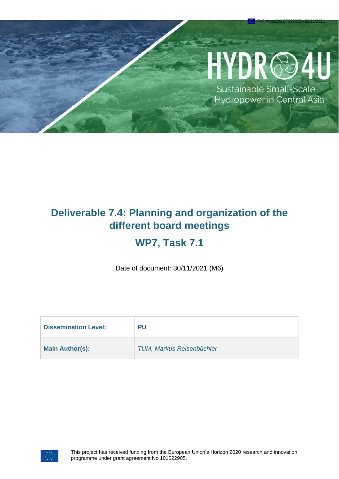# YDR@

Ref. Ares(2021)7329335 - 29/11/2021

Sustainable Small-Scale Hydropower in Central Asia

# **Deliverable 7.4: Planning and organization of the different board meetings**

# **WP7, Task 7.1**

Date of document: 30/11/2021 (M6)

| <b>Dissemination Level:</b> | PU                               |
|-----------------------------|----------------------------------|
| <b>Main Author(s):</b>      | <b>TUM, Markus Reisenbüchler</b> |

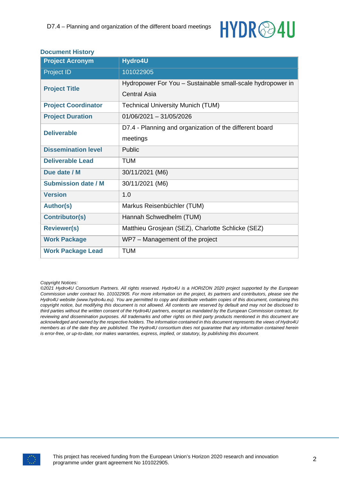# **HYDR<sup>@4U</sup>**

#### **Document History**

| <b>Project Acronym</b>     | Hydro4U                                                    |  |
|----------------------------|------------------------------------------------------------|--|
| Project ID                 | 101022905                                                  |  |
| <b>Project Title</b>       | Hydropower For You - Sustainable small-scale hydropower in |  |
|                            | <b>Central Asia</b>                                        |  |
| <b>Project Coordinator</b> | <b>Technical University Munich (TUM)</b>                   |  |
| <b>Project Duration</b>    | $01/06/2021 - 31/05/2026$                                  |  |
| <b>Deliverable</b>         | D7.4 - Planning and organization of the different board    |  |
|                            | meetings                                                   |  |
| <b>Dissemination level</b> | Public                                                     |  |
| <b>Deliverable Lead</b>    | <b>TUM</b>                                                 |  |
| Due date / M               | 30/11/2021 (M6)                                            |  |
| <b>Submission date / M</b> | 30/11/2021 (M6)                                            |  |
| <b>Version</b>             | 1.0                                                        |  |
| <b>Author(s)</b>           | Markus Reisenbüchler (TUM)                                 |  |
| <b>Contributor(s)</b>      | Hannah Schwedhelm (TUM)                                    |  |
| <b>Reviewer(s)</b>         | Matthieu Grosjean (SEZ), Charlotte Schlicke (SEZ)          |  |
| <b>Work Package</b>        | WP7 – Management of the project                            |  |
| <b>Work Package Lead</b>   | <b>TUM</b>                                                 |  |

#### *Copyright Notices:*

*©2021 Hydro4U Consortium Partners. All rights reserved. Hydro4U is a HORIZON 2020 project supported by the European Commission under contract No. 101022905. For more information on the project, its partners and contributors, please see the Hydro4U website (www.hydro4u.eu). You are permitted to copy and distribute verbatim copies of this document, containing this copyright notice, but modifying this document is not allowed. All contents are reserved by default and may not be disclosed to third parties without the written consent of the Hydro4U partners, except as mandated by the European Commission contract, for reviewing and dissemination purposes. All trademarks and other rights on third party products mentioned in this document are acknowledged and owned by the respective holders. The information contained in this document represents the views of Hydro4U members as of the date they are published. The Hydro4U consortium does not guarantee that any information contained herein is error-free, or up-to-date, nor makes warranties, express, implied, or statutory, by publishing this document.*

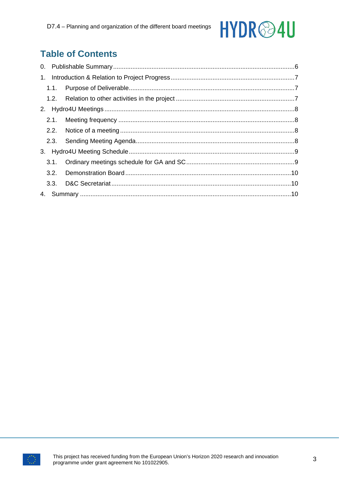# HYDR<sup>@4U</sup>

# **Table of Contents**

| 3.1. |  |
|------|--|
|      |  |
|      |  |
|      |  |

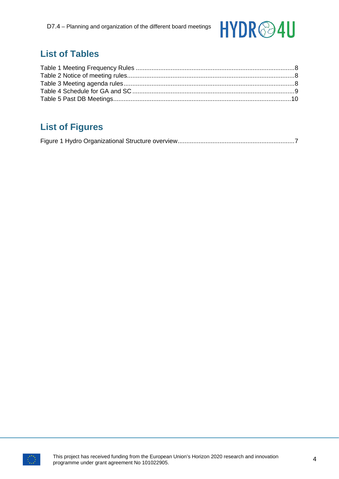

### **List of Tables**

# **List of Figures**

|--|--|--|--|--|

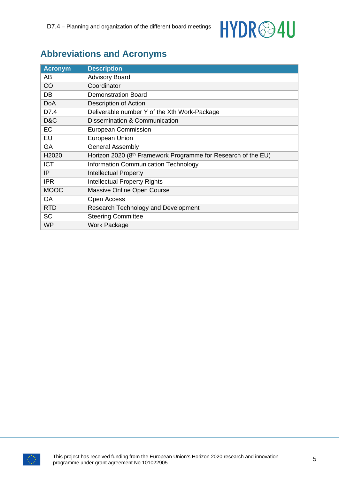

### **Abbreviations and Acronyms**

| <b>Acronym</b> | <b>Description</b>                                                        |
|----------------|---------------------------------------------------------------------------|
| AB             | <b>Advisory Board</b>                                                     |
| CO             | Coordinator                                                               |
| DB             | <b>Demonstration Board</b>                                                |
| <b>DoA</b>     | Description of Action                                                     |
| D7.4           | Deliverable number Y of the Xth Work-Package                              |
| D&C            | Dissemination & Communication                                             |
| EC             | <b>European Commission</b>                                                |
| EU             | <b>European Union</b>                                                     |
| GA             | <b>General Assembly</b>                                                   |
| H2020          | Horizon 2020 (8 <sup>th</sup> Framework Programme for Research of the EU) |
| <b>ICT</b>     | <b>Information Communication Technology</b>                               |
| IP             | <b>Intellectual Property</b>                                              |
| <b>IPR</b>     | <b>Intellectual Property Rights</b>                                       |
| <b>MOOC</b>    | Massive Online Open Course                                                |
| <b>OA</b>      | Open Access                                                               |
| <b>RTD</b>     | Research Technology and Development                                       |
| <b>SC</b>      | <b>Steering Committee</b>                                                 |
| <b>WP</b>      | Work Package                                                              |

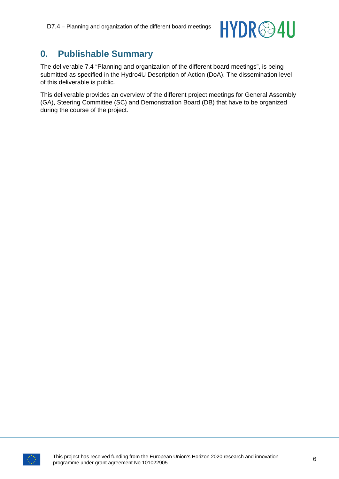

### <span id="page-5-0"></span>**0. Publishable Summary**

The deliverable 7.4 "Planning and organization of the different board meetings", is being submitted as specified in the Hydro4U Description of Action (DoA). The dissemination level of this deliverable is public.

This deliverable provides an overview of the different project meetings for General Assembly (GA), Steering Committee (SC) and Demonstration Board (DB) that have to be organized during the course of the project.

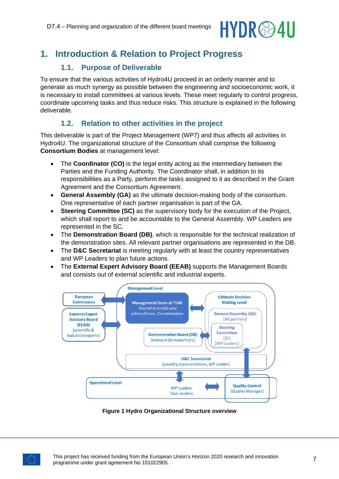# HYDR@4U

# <span id="page-6-0"></span>**1. Introduction & Relation to Project Progress**

#### **1.1. Purpose of Deliverable**

<span id="page-6-1"></span>To ensure that the various activities of Hydro4U proceed in an orderly manner and to generate as much synergy as possible between the engineering and socioeconomic work, it is necessary to install committees at various levels. These meet regularly to control progress, coordinate upcoming tasks and thus reduce risks. This structure is explained in the following deliverable.

#### **1.2. Relation to other activities in the project**

<span id="page-6-2"></span>This deliverable is part of the Project Management (WP7) and thus affects all activities in Hydro4U. The organizational structure of the Consortium shall comprise the following **Consortium Bodies** at management level:

- The **Coordinator (CO)** is the legal entity acting as the intermediary between the Parties and the Funding Authority. The Coordinator shall, in addition to its responsibilities as a Party, perform the tasks assigned to it as described in the Grant Agreement and the Consortium Agreement.
- **General Assembly (GA)** as the ultimate decision-making body of the consortium. One representative of each partner organisation is part of the GA.
- **Steering Committee (SC)** as the supervisory body for the execution of the Project, which shall report to and be accountable to the General Assembly. WP Leaders are represented in the SC.
- The **Demonstration Board (DB)**, which is responsible for the technical realization of the demonstration sites. All relevant partner organisations are represented in the DB.
- The **D&C Secretariat** is meeting regularly with at least the country representatives and WP Leaders to plan future actions.
- The **External Expert Advisory Board (EEAB)** supports the Management Boards and consists out of external scientific and industrial experts.



**Figure 1 Hydro Organizational Structure overview**

<span id="page-6-3"></span>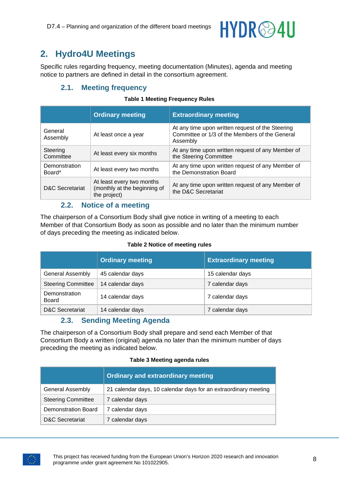

# <span id="page-7-0"></span>**2. Hydro4U Meetings**

<span id="page-7-1"></span>Specific rules regarding frequency, meeting documentation (Minutes), agenda and meeting notice to partners are defined in detail in the consortium agreement.

#### **2.1. Meeting frequency**

#### **Table 1 Meeting Frequency Rules**

<span id="page-7-4"></span>

|                            | <b>Ordinary meeting</b>                                                   | <b>Extraordinary meeting</b>                                                                                   |
|----------------------------|---------------------------------------------------------------------------|----------------------------------------------------------------------------------------------------------------|
| General<br>Assembly        | At least once a year                                                      | At any time upon written request of the Steering<br>Committee or 1/3 of the Members of the General<br>Assembly |
| Steering<br>Committee      | At least every six months                                                 | At any time upon written request of any Member of<br>the Steering Committee                                    |
| Demonstration<br>Board*    | At least every two months                                                 | At any time upon written request of any Member of<br>the Demonstration Board                                   |
| <b>D&amp;C Secretariat</b> | At least every two months<br>(monthly at the beginning of<br>the project) | At any time upon written request of any Member of<br>the D&C Secretariat                                       |

#### **2.2. Notice of a meeting**

<span id="page-7-2"></span>The chairperson of a Consortium Body shall give notice in writing of a meeting to each Member of that Consortium Body as soon as possible and no later than the minimum number of days preceding the meeting as indicated below.

#### **Table 2 Notice of meeting rules**

<span id="page-7-5"></span>

|                            | <b>Ordinary meeting</b> | <b>Extraordinary meeting</b> |
|----------------------------|-------------------------|------------------------------|
| <b>General Assembly</b>    | 45 calendar days        | 15 calendar days             |
| <b>Steering Committee</b>  | 14 calendar days        | 7 calendar days              |
| Demonstration<br>Board     | 14 calendar days        | 7 calendar days              |
| <b>D&amp;C Secretariat</b> | 14 calendar days        | 7 calendar days              |

#### **2.3. Sending Meeting Agenda**

<span id="page-7-3"></span>The chairperson of a Consortium Body shall prepare and send each Member of that Consortium Body a written (original) agenda no later than the minimum number of days preceding the meeting as indicated below.

|  |  | <b>Table 3 Meeting agenda rules</b> |  |  |
|--|--|-------------------------------------|--|--|
|--|--|-------------------------------------|--|--|

<span id="page-7-6"></span>

|                           | <b>Ordinary and extraordinary meeting</b>                       |  |
|---------------------------|-----------------------------------------------------------------|--|
| <b>General Assembly</b>   | 21 calendar days, 10 calendar days for an extraordinary meeting |  |
| <b>Steering Committee</b> | 7 calendar days                                                 |  |
| Demonstration Board       | 7 calendar days                                                 |  |
| D&C Secretariat           | 7 calendar days                                                 |  |

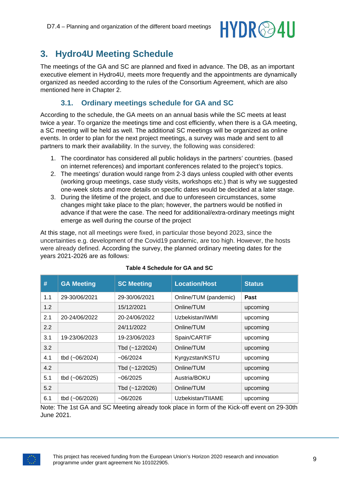# HYDR@4U

# <span id="page-8-0"></span>**3. Hydro4U Meeting Schedule**

The meetings of the GA and SC are planned and fixed in advance. The DB, as an important executive element in Hydro4U, meets more frequently and the appointments are dynamically organized as needed according to the rules of the Consortium Agreement, which are also mentioned here in Chapter 2.

#### **3.1. Ordinary meetings schedule for GA and SC**

<span id="page-8-1"></span>According to the schedule, the GA meets on an annual basis while the SC meets at least twice a year. To organize the meetings time and cost efficiently, when there is a GA meeting, a SC meeting will be held as well. The additional SC meetings will be organized as online events. In order to plan for the next project meetings, a survey was made and sent to all partners to mark their availability. In the survey, the following was considered:

- 1. The coordinator has considered all public holidays in the partners' countries. (based on internet references) and important conferences related to the project's topics.
- 2. The meetings' duration would range from 2-3 days unless coupled with other events (working group meetings, case study visits, workshops etc.) that is why we suggested one-week slots and more details on specific dates would be decided at a later stage.
- 3. During the lifetime of the project, and due to unforeseen circumstances, some changes might take place to the plan; however, the partners would be notified in advance if that were the case. The need for additional/extra-ordinary meetings might emerge as well during the course of the project

At this stage, not all meetings were fixed, in particular those beyond 2023, since the uncertainties e.g. development of the Covid19 pandemic, are too high. However, the hosts were already defined. According the survey, the planned ordinary meeting dates for the years 2021-2026 are as follows:

<span id="page-8-2"></span>

| #   | <b>GA Meeting</b> | <b>SC Meeting</b> | <b>Location/Host</b>  | <b>Status</b> |
|-----|-------------------|-------------------|-----------------------|---------------|
| 1.1 | 29-30/06/2021     | 29-30/06/2021     | Online/TUM (pandemic) | <b>Past</b>   |
| 1.2 |                   | 15/12/2021        | Online/TUM            | upcoming      |
| 2.1 | 20-24/06/2022     | 20-24/06/2022     | Uzbekistan/IWMI       | upcoming      |
| 2.2 |                   | 24/11/2022        | Online/TUM            | upcoming      |
| 3.1 | 19-23/06/2023     | 19-23/06/2023     | Spain/CARTIF          | upcoming      |
| 3.2 |                   | Tbd (~12/2024)    | Online/TUM            | upcoming      |
| 4.1 | tbd (~06/2024)    | ~106/2024         | Kyrgyzstan/KSTU       | upcoming      |
| 4.2 |                   | Tbd (~12/2025)    | Online/TUM            | upcoming      |
| 5.1 | tbd (~06/2025)    | ~106/2025         | Austria/BOKU          | upcoming      |
| 5.2 |                   | Tbd (~12/2026)    | Online/TUM            | upcoming      |
| 6.1 | tbd (~06/2026)    | ~106/2026         | Uzbekistan/TIIAME     | upcoming      |

#### **Table 4 Schedule for GA and SC**

Note: The 1st GA and SC Meeting already took place in form of the Kick-off event on 29-30th June 2021.